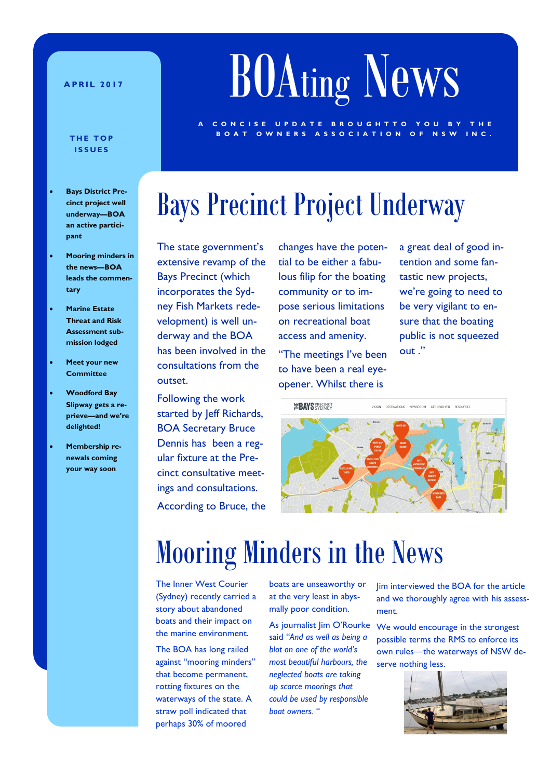### **A P R I L 2 0 1 7**

# BOAting News

C O N C I S E U P D A T E B R O U G H T T O Y O U B Y

### **BOAT OWNERS ASSOCIATION OF NSW INC. I S S U E S**

- **Bays District Precinct project well underway—BOA an active participant**
- **Mooring minders in the news—BOA leads the commentary**
- **Marine Estate Threat and Risk Assessment submission lodged**
- **Meet your new Committee**
- **Woodford Bay Slipway gets a reprieve—and we're delighted!**
- **Membership renewals coming your way soon**

# Bays Precinct Project Underway

The state government's extensive revamp of the Bays Precinct (which incorporates the Sydney Fish Markets redevelopment) is well underway and the BOA has been involved in the consultations from the outset.

Following the work started by Jeff Richards, BOA Secretary Bruce Dennis has been a regular fixture at the Precinct consultative meetings and consultations. According to Bruce, the

changes have the potential to be either a fabulous filip for the boating community or to impose serious limitations on recreational boat access and amenity.

"The meetings I've been to have been a real eyeopener. Whilst there is

a great deal of good intention and some fantastic new projects, we're going to need to be very vigilant to ensure that the boating public is not squeezed out ."

**ERAYS** *<u>ERAYS RAYS*</u> MEION DECTINATIONS NEWSBOOM GET INVOLVED BESOURCE

# Mooring Minders in the News

The Inner West Courier (Sydney) recently carried a story about abandoned boats and their impact on the marine environment.

The BOA has long railed against "mooring minders" that become permanent, rotting fixtures on the waterways of the state. A straw poll indicated that perhaps 30% of moored

boats are unseaworthy or at the very least in abysmally poor condition.

said *"And as well as being a blot on one of the world's most beautiful harbours, the neglected boats are taking up scarce moorings that could be used by responsible boat owners. "*

Jim interviewed the BOA for the article and we thoroughly agree with his assessment.

As journalist Jim O'Rourke We would encourage in the strongest possible terms the RMS to enforce its own rules—the waterways of NSW deserve nothing less.